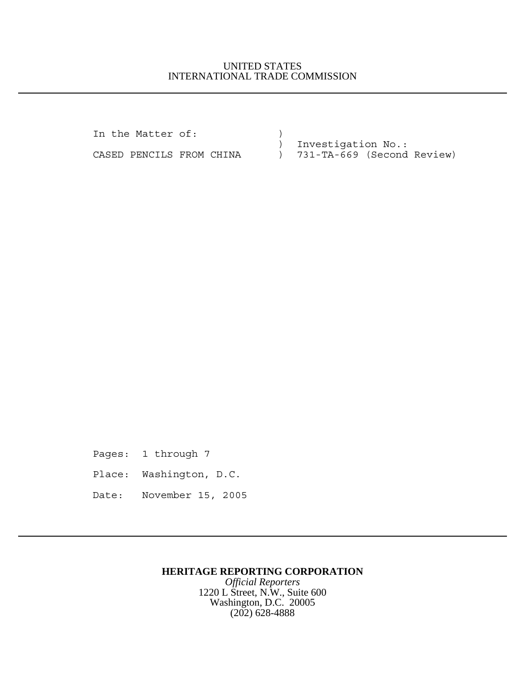## UNITED STATES INTERNATIONAL TRADE COMMISSION

In the Matter of:  $)$ ) Investigation No.:

CASED PENCILS FROM CHINA ) 731-TA-669 (Second Review)

Pages: 1 through 7 Place: Washington, D.C. Date: November 15, 2005

## **HERITAGE REPORTING CORPORATION**

*Official Reporters* 1220 L Street, N.W., Suite 600 Washington, D.C. 20005 (202) 628-4888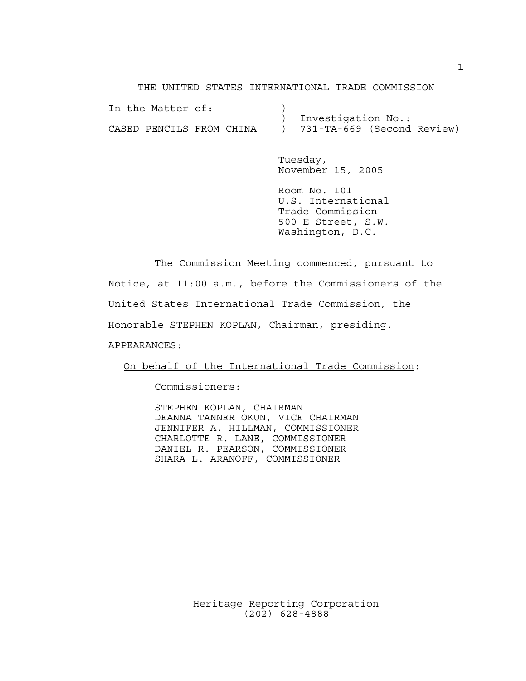THE UNITED STATES INTERNATIONAL TRADE COMMISSION

|  | In the Matter of:        |  |                              |  |
|--|--------------------------|--|------------------------------|--|
|  |                          |  | ) Investigation No.:         |  |
|  | CASED PENCILS FROM CHINA |  | ) 731-TA-669 (Second Review) |  |

Tuesday, November 15, 2005

Room No. 101 U.S. International Trade Commission 500 E Street, S.W. Washington, D.C.

The Commission Meeting commenced, pursuant to Notice, at 11:00 a.m., before the Commissioners of the United States International Trade Commission, the Honorable STEPHEN KOPLAN, Chairman, presiding.

APPEARANCES:

On behalf of the International Trade Commission:

Commissioners:

STEPHEN KOPLAN, CHAIRMAN DEANNA TANNER OKUN, VICE CHAIRMAN JENNIFER A. HILLMAN, COMMISSIONER CHARLOTTE R. LANE, COMMISSIONER DANIEL R. PEARSON, COMMISSIONER SHARA L. ARANOFF, COMMISSIONER

Heritage Reporting Corporation (202) 628-4888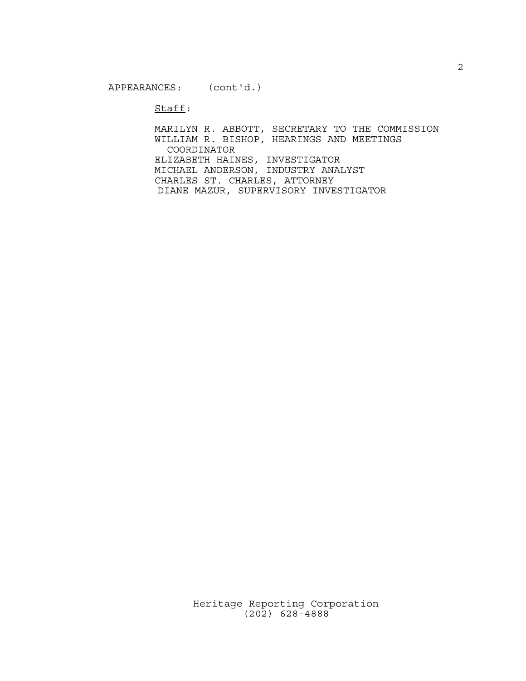$\texttt{Staff}:$ 

MARILYN R. ABBOTT, SECRETARY TO THE COMMISSION WILLIAM R. BISHOP, HEARINGS AND MEETINGS COORDINATOR ELIZABETH HAINES, INVESTIGATOR MICHAEL ANDERSON, INDUSTRY ANALYST CHARLES ST. CHARLES, ATTORNEY DIANE MAZUR, SUPERVISORY INVESTIGATOR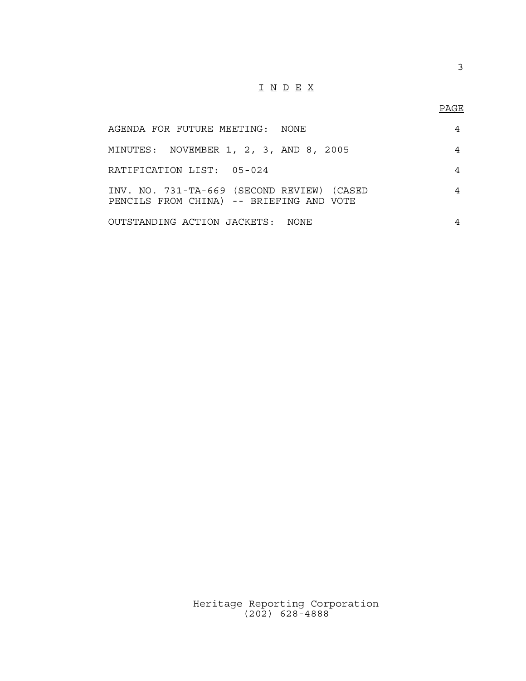## I N D E X

3

| AGENDA FOR FUTURE MEETING: NONE                                                        | 4 |
|----------------------------------------------------------------------------------------|---|
| MINUTES: NOVEMBER 1, 2, 3, AND 8, 2005                                                 | 4 |
| RATIFICATION LIST: 05-024                                                              | 4 |
| INV. NO. 731-TA-669 (SECOND REVIEW) (CASED<br>PENCILS FROM CHINA) -- BRIEFING AND VOTE | 4 |
| OUTSTANDING ACTION JACKETS: NONE                                                       | 4 |

Heritage Reporting Corporation (202) 628-4888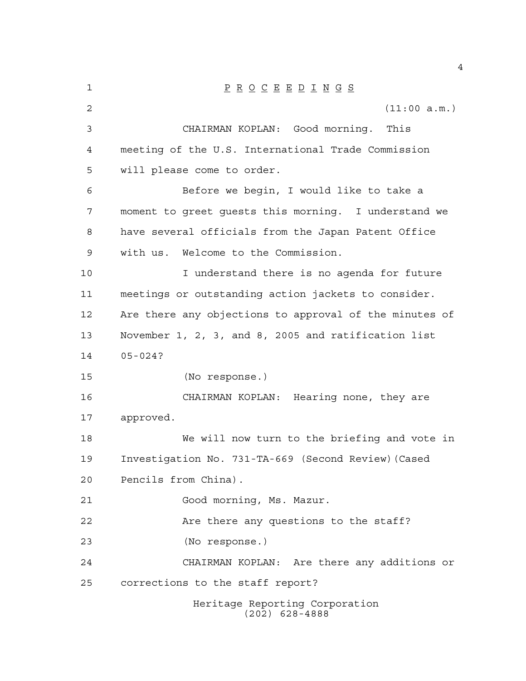| $\mathbf 1$ | $\underline{P} \underline{R} \underline{O} \underline{C} \underline{E} \underline{E} \underline{D} \underline{I} \underline{N} \underline{G} \underline{S}$ |
|-------------|-------------------------------------------------------------------------------------------------------------------------------------------------------------|
| 2           | (11:00 a.m.)                                                                                                                                                |
| 3           | CHAIRMAN KOPLAN: Good morning.<br>This                                                                                                                      |
| 4           | meeting of the U.S. International Trade Commission                                                                                                          |
| 5           | will please come to order.                                                                                                                                  |
| 6           | Before we begin, I would like to take a                                                                                                                     |
| 7           | moment to greet guests this morning. I understand we                                                                                                        |
| 8           | have several officials from the Japan Patent Office                                                                                                         |
| 9           | with us. Welcome to the Commission.                                                                                                                         |
| 10          | I understand there is no agenda for future                                                                                                                  |
| 11          | meetings or outstanding action jackets to consider.                                                                                                         |
| 12          | Are there any objections to approval of the minutes of                                                                                                      |
| 13          | November 1, 2, 3, and 8, 2005 and ratification list                                                                                                         |
| 14          | $05 - 024?$                                                                                                                                                 |
| 15          | (No response.)                                                                                                                                              |
| 16          | CHAIRMAN KOPLAN: Hearing none, they are                                                                                                                     |
| 17          | approved.                                                                                                                                                   |
| 18          | We will now turn to the briefing and vote in                                                                                                                |
| 19          | Investigation No. 731-TA-669 (Second Review) (Cased                                                                                                         |
| 20          | Pencils from China).                                                                                                                                        |
| 21          | Good morning, Ms. Mazur.                                                                                                                                    |
| 22          | Are there any questions to the staff?                                                                                                                       |
| 23          | (No response.)                                                                                                                                              |
| 24          | CHAIRMAN KOPLAN: Are there any additions or                                                                                                                 |
| 25          | corrections to the staff report?                                                                                                                            |
|             | Heritage Reporting Corporation<br>$(202)$ 628-4888                                                                                                          |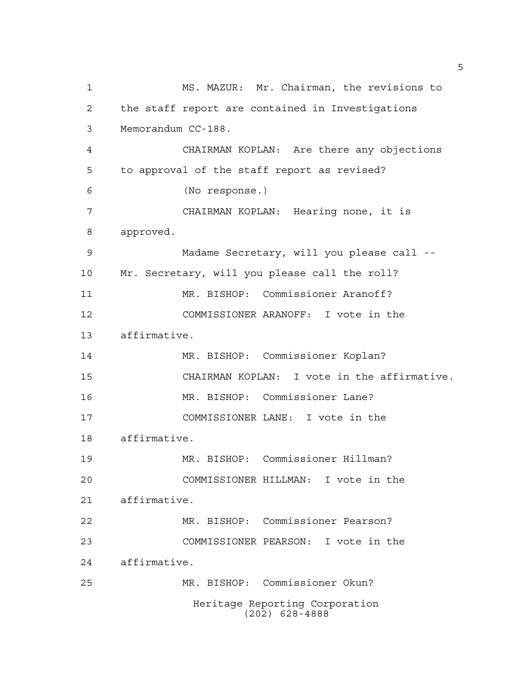MS. MAZUR: Mr. Chairman, the revisions to the staff report are contained in Investigations Memorandum CC-188. CHAIRMAN KOPLAN: Are there any objections to approval of the staff report as revised? (No response.) CHAIRMAN KOPLAN: Hearing none, it is approved. Madame Secretary, will you please call -- Mr. Secretary, will you please call the roll? MR. BISHOP: Commissioner Aranoff? COMMISSIONER ARANOFF: I vote in the affirmative. MR. BISHOP: Commissioner Koplan? CHAIRMAN KOPLAN: I vote in the affirmative. MR. BISHOP: Commissioner Lane? COMMISSIONER LANE: I vote in the affirmative. MR. BISHOP: Commissioner Hillman? COMMISSIONER HILLMAN: I vote in the affirmative. MR. BISHOP: Commissioner Pearson? COMMISSIONER PEARSON: I vote in the affirmative. MR. BISHOP: Commissioner Okun? Heritage Reporting Corporation (202) 628-4888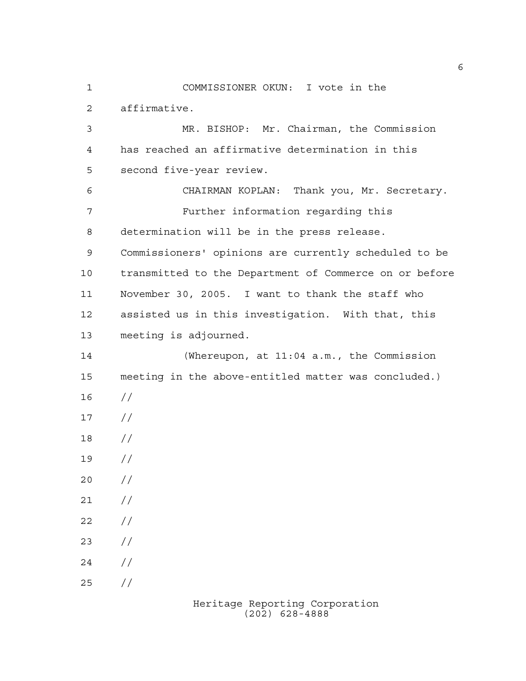affirmative. MR. BISHOP: Mr. Chairman, the Commission has reached an affirmative determination in this second five-year review. CHAIRMAN KOPLAN: Thank you, Mr. Secretary. Further information regarding this determination will be in the press release. Commissioners' opinions are currently scheduled to be

COMMISSIONER OKUN: I vote in the

 transmitted to the Department of Commerce on or before November 30, 2005. I want to thank the staff who assisted us in this investigation. With that, this meeting is adjourned.

 (Whereupon, at 11:04 a.m., the Commission meeting in the above-entitled matter was concluded.) //  $17 /$  // //  $20 /$  $21 /$  $22 / /$  $23 / /$  $24 /$  $25 / /$ 

> Heritage Reporting Corporation (202) 628-4888